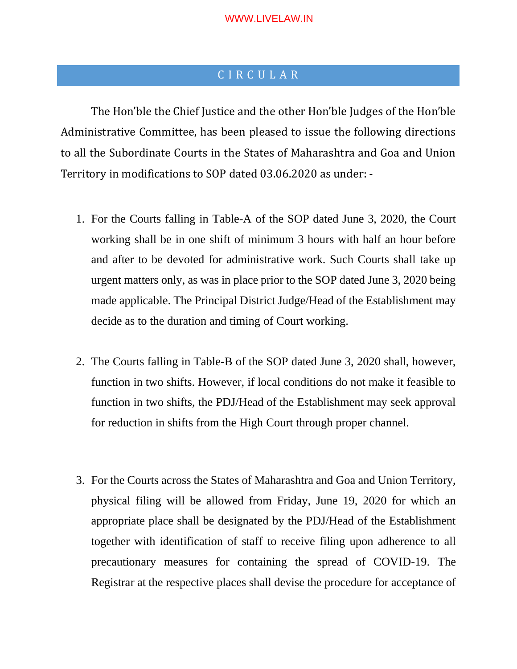## C I R C U L A R

The Hon'ble the Chief Justice and the other Hon'ble Judges of the Hon'ble Administrative Committee, has been pleased to issue the following directions to all the Subordinate Courts in the States of Maharashtra and Goa and Union Territory in modifications to SOP dated 03.06.2020 as under: -

- 1. For the Courts falling in Table-A of the SOP dated June 3, 2020, the Court working shall be in one shift of minimum 3 hours with half an hour before and after to be devoted for administrative work. Such Courts shall take up urgent matters only, as was in place prior to the SOP dated June 3, 2020 being made applicable. The Principal District Judge/Head of the Establishment may decide as to the duration and timing of Court working.
- 2. The Courts falling in Table-B of the SOP dated June 3, 2020 shall, however, function in two shifts. However, if local conditions do not make it feasible to function in two shifts, the PDJ/Head of the Establishment may seek approval for reduction in shifts from the High Court through proper channel.
- 3. For the Courts across the States of Maharashtra and Goa and Union Territory, physical filing will be allowed from Friday, June 19, 2020 for which an appropriate place shall be designated by the PDJ/Head of the Establishment together with identification of staff to receive filing upon adherence to all precautionary measures for containing the spread of COVID-19. The Registrar at the respective places shall devise the procedure for acceptance of